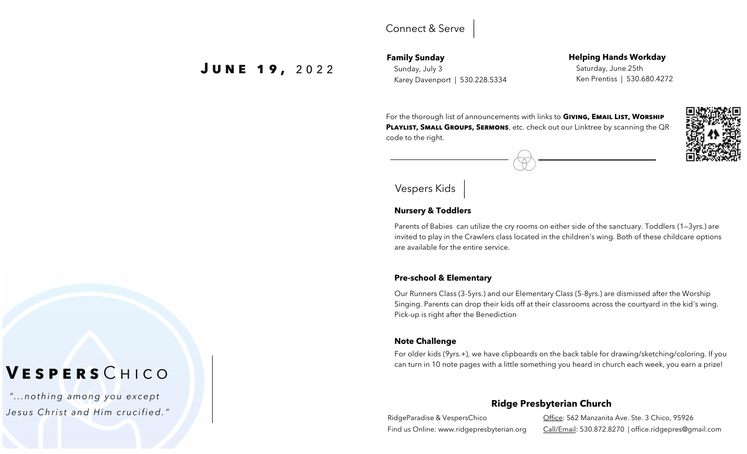### Connect & Serve

# **J u n e 1 9 ,** 2 0 2 2

**Family Sunday** Sunday, July 3 Karey Davenport | 530.228.5334 **Helping Hands Workday** Saturday, June 25th Ken Prentiss | 530.680.4272

For the thorough list of announcements with links to **Giving, Email List, Worship Playlist, Small Groups, Sermons**, etc. check out our Linktree by scanning the QR code to the right.

# Vespers Kids

#### **Nursery & Toddlers**

Parents of Babies can utilize the cry rooms on either side of the sanctuary. Toddlers (1—3yrs.) are invited to play in the Crawlers class located in the children's wing. Both of these childcare options are available for the entire service.

#### **Pre-school & Elementary**

Our Runners Class (3-5yrs.) and our Elementary Class (5-8yrs.) are dismissed after the Worship Singing. Parents can drop their kids off at their classrooms across the courtyard in the kid's wing. Pick-up is right after the Benediction

#### **Note Challenge**

For older kids (9yrs.+), we have clipboards on the back table for drawing/sketching/coloring. If you can turn in 10 note pages with a little something you heard in church each week, you earn a prize!

### **Ridge Presbyterian Church**

RidgeParadise & VespersChico Find us Online: www.ridgepresbyterian.org

Office: 562 Manzanita Ave. Ste. 3 Chico, 95926 Call/Email: 530.872.8270 | office.ridgepres@gmail.com

# **V e s p e r s** C h i c o

*" . . .n o th i n g a m o ng y o u ex c e pt J e s u s C h r i s t a n d H i m c r u c i fi e d ."*

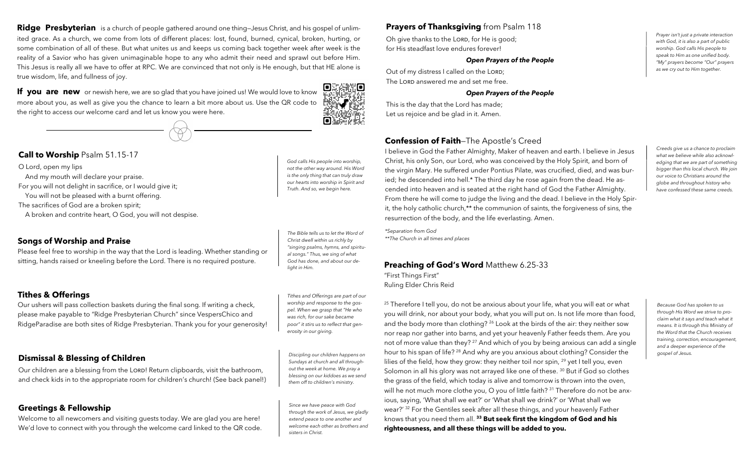**Ridge Presbyterian** is a church of people gathered around one thing—Jesus Christ, and his gospel of unlimited grace. As a church, we come from lots of different places: lost, found, burned, cynical, broken, hurting, or some combination of all of these. But what unites us and keeps us coming back together week after week is the reality of a Savior who has given unimaginable hope to any who admit their need and sprawl out before Him. This Jesus is really all we have to offer at RPC. We are convinced that not only is He enough, but that HE alone is true wisdom, life, and fullness of joy.

**If you are new** or newish here, we are so glad that you have joined us! We would love to know more about you, as well as give you the chance to learn a bit more about us. Use the QR code to the right to access our welcome card and let us know you were here.

#### **Call to Worship** Psalm 51.15-17

O Lord, open my lips And my mouth will declare your praise. For you will not delight in sacrifice, or I would give it; You will not be pleased with a burnt offering. The sacrifices of God are a broken spirit; A broken and contrite heart, O God, you will not despise.

#### **Songs of Worship and Praise**

Please feel free to worship in the way that the Lord is leading. Whether standing or sitting, hands raised or kneeling before the Lord. There is no required posture.

#### **Tithes & Offerings**

Our ushers will pass collection baskets during the final song. If writing a check, please make payable to "Ridge Presbyterian Church" since VespersChico and RidgeParadise are both sites of Ridge Presbyterian. Thank you for your generosity!

#### **Dismissal & Blessing of Children**

Our children are a blessing from the LORD! Return clipboards, visit the bathroom, and check kids in to the appropriate room for children's church! (See back panel!)

### **Greetings & Fellowship**

Welcome to all newcomers and visiting guests today. We are glad you are here! We'd love to connect with you through the welcome card linked to the QR code. *God calls His people into worship, not the other way around. His Word is the only thing that can truly draw our hearts into worship in Spirit and Truth. And so, we begin here.* 

*The Bible tells us to let the Word of Christ dwell within us richly by "singing psalms, hymns, and spiritual songs." Thus, we sing of what God has done, and about our delight in Him.* 

*Tithes and Offerings are part of our worship and response to the gospel. When we grasp that "He who was rich, for our sake became poor" it stirs us to reflect that generosity in our giving.*

*Discipling our children happens on Sundays at church and all throughout the week at home. We pray a blessing on our kiddoes as we send them off to children's ministry.* 

*Since we have peace with God through the work of Jesus, we gladly extend peace to one another and welcome each other as brothers and sisters in Christ.* 

#### **Prayers of Thanksgiving** from Psalm 118

Oh give thanks to the LORD, for He is good: for His steadfast love endures forever!

#### *Open Prayers of the People*

Out of my distress I called on the LORD; The LORD answered me and set me free.

#### *Open Prayers of the People*

This is the day that the Lord has made; Let us rejoice and be glad in it. Amen.

#### **Confession of Faith**—The Apostle's Creed

I believe in God the Father Almighty, Maker of heaven and earth. I believe in Jesus Christ, his only Son, our Lord, who was conceived by the Holy Spirit, and born of the virgin Mary. He suffered under Pontius Pilate, was crucified, died, and was buried; he descended into hell.\* The third day he rose again from the dead. He ascended into heaven and is seated at the right hand of God the Father Almighty. From there he will come to judge the living and the dead. I believe in the Holy Spirit, the holy catholic church,\*\* the communion of saints, the forgiveness of sins, the resurrection of the body, and the life everlasting. Amen.

*\*Separation from God \*\*The Church in all times and places*

#### **Preaching of God's Word** Matthew 6.25-33

"First Things First" Ruling Elder Chris Reid

<sup>25</sup> Therefore I tell you, do not be anxious about your life, what you will eat or what you will drink, nor about your body, what you will put on. Is not life more than food, and the body more than clothing? <sup>26</sup> Look at the birds of the air: they neither sow nor reap nor gather into barns, and yet your heavenly Father feeds them. Are you not of more value than they? <sup>27</sup> And which of you by being anxious can add a single hour to his span of life? <sup>28</sup> And why are you anxious about clothing? Consider the lilies of the field, how they grow: they neither toil nor spin,  $29$  yet I tell you, even Solomon in all his glory was not arrayed like one of these. <sup>30</sup> But if God so clothes the grass of the field, which today is alive and tomorrow is thrown into the oven, will he not much more clothe you, O you of little faith? 31 Therefore do not be anxious, saying, 'What shall we eat?' or 'What shall we drink?' or 'What shall we wear?' <sup>32</sup> For the Gentiles seek after all these things, and your heavenly Father knows that you need them all. **<sup>33</sup> But seek first the kingdom of God and his righteousness, and all these things will be added to you.**

*Prayer isn't just a private interaction with God, it is also a part of public worship. God calls His people to speak to Him as one unified body. "My" prayers become "Our" prayers as we cry out to Him together.* 

*Creeds give us a chance to proclaim what we believe while also acknowledging that we are part of something bigger than this local church. We join our voice to Christians around the globe and throughout history who have confessed these same creeds.*

*Because God has spoken to us through His Word we strive to proclaim what it says and teach what it means. It is through this Ministry of the Word that the Church receives training, correction, encouragement, and a deeper experience of the gospel of Jesus.*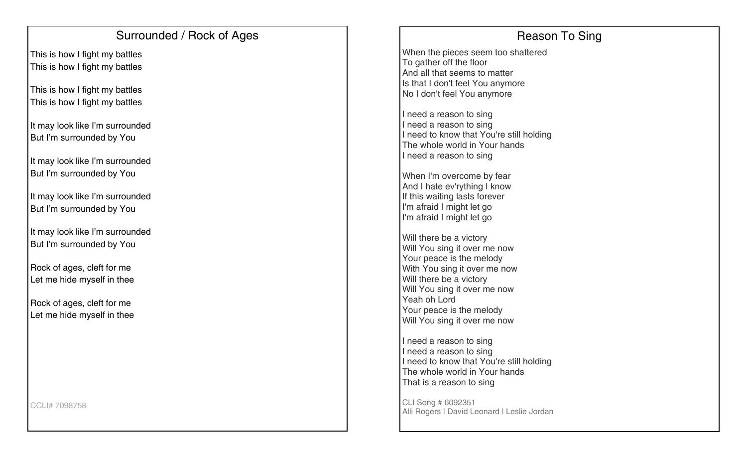### Surrounded / Rock of Ages

This is how I fight my battles This is how I fight my battles

This is how I fight my battles This is how I fight my battles

It may look like I'm surrounded But I'm surrounded by You

It may look like I'm surrounded But I'm surrounded by You

It may look like I'm surrounded But I'm surrounded by You

It may look like I'm surrounded But I'm surrounded by You

Rock of ages, cleft for me Let me hide myself in thee

Rock of ages, cleft for me Let me hide myself in thee

CCLI# 7098758

# Reason To Sing

When the pieces seem too shattered To gather off the floor And all that seems to matter Is that I don't feel You anymore No I don't feel You anymore

I need a reason to sing I need a reason to sing I need to know that You're still holding The whole world in Your hands I need a reason to sing

When I'm overcome by fear And I hate ev'rything I know If this waiting lasts forever I'm afraid I might let go I'm afraid I might let go

Will there be a victory Will You sing it over me now Your peace is the melody With You sing it over me now Will there be a victory Will You sing it over me now Yeah oh Lord Your peace is the melody Will You sing it over me now

I need a reason to sing I need a reason to sing I need to know that You're still holding The whole world in Your hands That is a reason to sing

CLI Song # 6092351 Alli Rogers | David Leonard | Leslie Jordan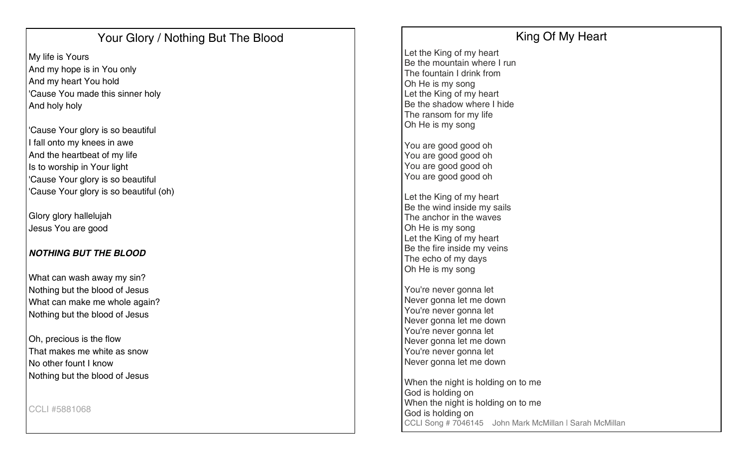# Your Glory / Nothing But The Blood

My life is Yours And my hope is in You only And my heart You hold 'Cause You made this sinner holy And holy holy

'Cause Your glory is so beautiful I fall onto my knees in awe And the heartbeat of my life Is to worship in Your light 'Cause Your glory is so beautiful 'Cause Your glory is so beautiful (oh)

Glory glory hallelujah Jesus You are good

### *NOTHING BUT THE BLOOD*

What can wash away my sin? Nothing but the blood of Jesus What can make me whole again? Nothing but the blood of Jesus

Oh, precious is the flow That makes me white as snow No other fount I know Nothing but the blood of Jesus

CCLI #5881068

## King Of My Heart

Let the King of my heart Be the mountain where I run The fountain I drink from Oh He is my song Let the King of my heart Be the shadow where I hide The ransom for my life Oh He is my song

You are good good oh You are good good oh You are good good oh You are good good oh

Let the King of my heart Be the wind inside my sails The anchor in the waves Oh He is my song Let the King of my heart Be the fire inside my veins The echo of my days Oh He is my song

You're never gonna let Never gonna let me down You're never gonna let Never gonna let me down You're never gonna let Never gonna let me down You're never gonna let Never gonna let me down

When the night is holding on to me God is holding on When the night is holding on to me God is holding on CCLI Song # 7046145 John Mark McMillan | Sarah McMillan